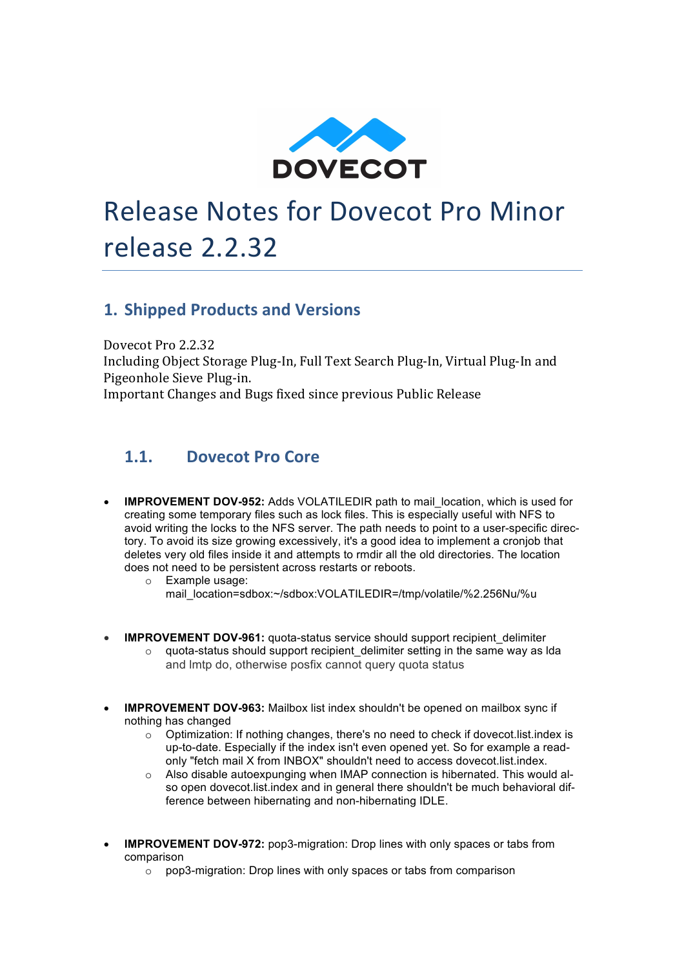

# Release Notes for Dovecot Pro Minor release 2.2.32

## **1. Shipped Products and Versions**

Dovecot Pro 2.2.32

Including Object Storage Plug-In, Full Text Search Plug-In, Virtual Plug-In and Pigeonhole Sieve Plug-in. Important Changes and Bugs fixed since previous Public Release

## 1.1. **Dovecot** Pro Core

- **IMPROVEMENT DOV-952:** Adds VOLATILEDIR path to mail location, which is used for creating some temporary files such as lock files. This is especially useful with NFS to avoid writing the locks to the NFS server. The path needs to point to a user-specific directory. To avoid its size growing excessively, it's a good idea to implement a cronjob that deletes very old files inside it and attempts to rmdir all the old directories. The location does not need to be persistent across restarts or reboots.
	- o Example usage: mail\_location=sdbox:~/sdbox:VOLATILEDIR=/tmp/volatile/%2.256Nu/%u
	- **IMPROVEMENT DOV-961:** quota-status service should support recipient delimiter  $\circ$  quota-status should support recipient delimiter setting in the same way as Ida and lmtp do, otherwise posfix cannot query quota status
- **IMPROVEMENT DOV-963:** Mailbox list index shouldn't be opened on mailbox sync if nothing has changed
	- o Optimization: If nothing changes, there's no need to check if dovecot.list.index is up-to-date. Especially if the index isn't even opened yet. So for example a readonly "fetch mail X from INBOX" shouldn't need to access dovecot.list.index.
	- o Also disable autoexpunging when IMAP connection is hibernated. This would also open dovecot.list.index and in general there shouldn't be much behavioral difference between hibernating and non-hibernating IDLE.
- **IMPROVEMENT DOV-972:** pop3-migration: Drop lines with only spaces or tabs from comparison
	- $\circ$  pop3-migration: Drop lines with only spaces or tabs from comparison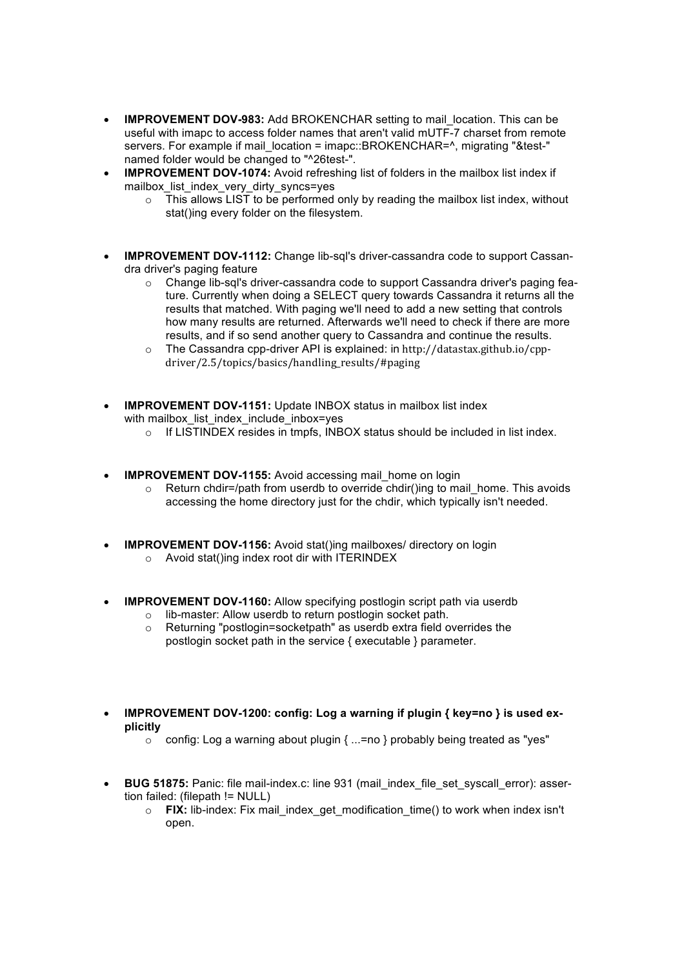- **IMPROVEMENT DOV-983:** Add BROKENCHAR setting to mail location. This can be useful with imapc to access folder names that aren't valid mUTF-7 charset from remote servers. For example if mail location = imapc::BROKENCHAR=^, migrating "&test-" named folder would be changed to "^26test-".
- **IMPROVEMENT DOV-1074:** Avoid refreshing list of folders in the mailbox list index if mailbox\_list\_index\_very\_dirty\_syncs=yes
	- $\circ$  This allows LIST to be performed only by reading the mailbox list index, without stat()ing every folder on the filesystem.
- **IMPROVEMENT DOV-1112:** Change lib-sql's driver-cassandra code to support Cassandra driver's paging feature
	- o Change lib-sql's driver-cassandra code to support Cassandra driver's paging feature. Currently when doing a SELECT query towards Cassandra it returns all the results that matched. With paging we'll need to add a new setting that controls how many results are returned. Afterwards we'll need to check if there are more results, and if so send another query to Cassandra and continue the results.
	- o The Cassandra cpp-driver API is explained: in http://datastax.github.io/cppdriver/2.5/topics/basics/handling\_results/#paging
- **IMPROVEMENT DOV-1151:** Update INBOX status in mailbox list index with mailbox list index include inbox=yes
	- $\circ$  If LISTINDEX resides in tmpfs, INBOX status should be included in list index.
- **IMPROVEMENT DOV-1155:** Avoid accessing mail home on login
	- $\circ$  Return chdir=/path from userdb to override chdir()ing to mail home. This avoids accessing the home directory just for the chdir, which typically isn't needed.
- **IMPROVEMENT DOV-1156:** Avoid stat()ing mailboxes/ directory on login o Avoid stat()ing index root dir with ITERINDEX
- **IMPROVEMENT DOV-1160:** Allow specifying postlogin script path via userdb
	- o lib-master: Allow userdb to return postlogin socket path.
	- Returning "postlogin=socketpath" as userdb extra field overrides the postlogin socket path in the service { executable } parameter.
- **IMPROVEMENT DOV-1200: config: Log a warning if plugin { key=no } is used explicitly**
	- o config: Log a warning about plugin { ...=no } probably being treated as "yes"
- **BUG 51875:** Panic: file mail-index.c: line 931 (mail\_index\_file\_set\_syscall\_error): assertion failed: (filepath != NULL)
	- o **FIX:** lib-index: Fix mail\_index\_get\_modification\_time() to work when index isn't open.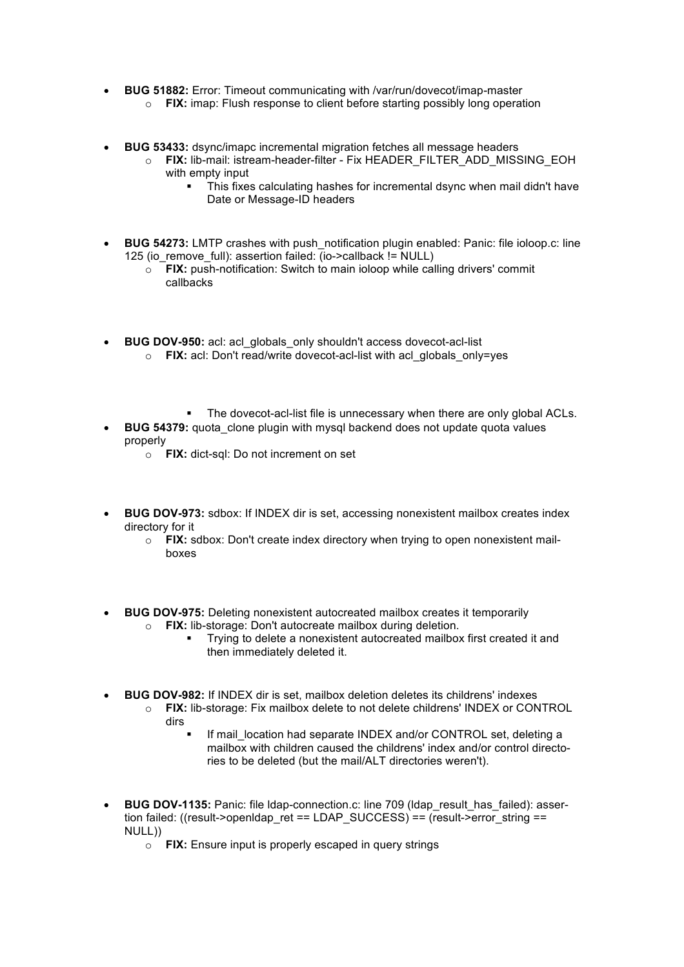- **BUG 51882:** Error: Timeout communicating with /var/run/dovecot/imap-master
	- o **FIX:** imap: Flush response to client before starting possibly long operation
- **BUG 53433:** dsync/imapc incremental migration fetches all message headers
	- o **FIX:** lib-mail: istream-header-filter Fix HEADER\_FILTER\_ADD\_MISSING\_EOH with empty input
		- This fixes calculating hashes for incremental dsync when mail didn't have Date or Message-ID headers
- **BUG 54273:** LMTP crashes with push\_notification plugin enabled: Panic: file ioloop.c: line 125 (io\_remove\_full): assertion failed: (io->callback != NULL)
	- o **FIX:** push-notification: Switch to main ioloop while calling drivers' commit callbacks
- **BUG DOV-950:** acl: acl\_globals\_only shouldn't access dovecot-acl-list o **FIX:** acl: Don't read/write dovecot-acl-list with acl\_globals\_only=yes
	- The dovecot-acl-list file is unnecessary when there are only global ACLs.
- **BUG 54379:** quota clone plugin with mysql backend does not update quota values properly
	- o **FIX:** dict-sql: Do not increment on set
- **BUG DOV-973:** sdbox: If INDEX dir is set, accessing nonexistent mailbox creates index directory for it
	- o **FIX:** sdbox: Don't create index directory when trying to open nonexistent mailboxes
- **BUG DOV-975:** Deleting nonexistent autocreated mailbox creates it temporarily o **FIX:** lib-storage: Don't autocreate mailbox during deletion.
	- § Trying to delete a nonexistent autocreated mailbox first created it and then immediately deleted it.
- **BUG DOV-982:** If INDEX dir is set, mailbox deletion deletes its childrens' indexes
	- o **FIX:** lib-storage: Fix mailbox delete to not delete childrens' INDEX or CONTROL dirs
		- If mail location had separate INDEX and/or CONTROL set, deleting a mailbox with children caused the childrens' index and/or control directories to be deleted (but the mail/ALT directories weren't).
- **BUG DOV-1135:** Panic: file ldap-connection.c: line 709 (ldap\_result\_has\_failed): assertion failed: ((result->openldap\_ret == LDAP\_SUCCESS) == (result->error\_string == NULL))
	- o **FIX:** Ensure input is properly escaped in query strings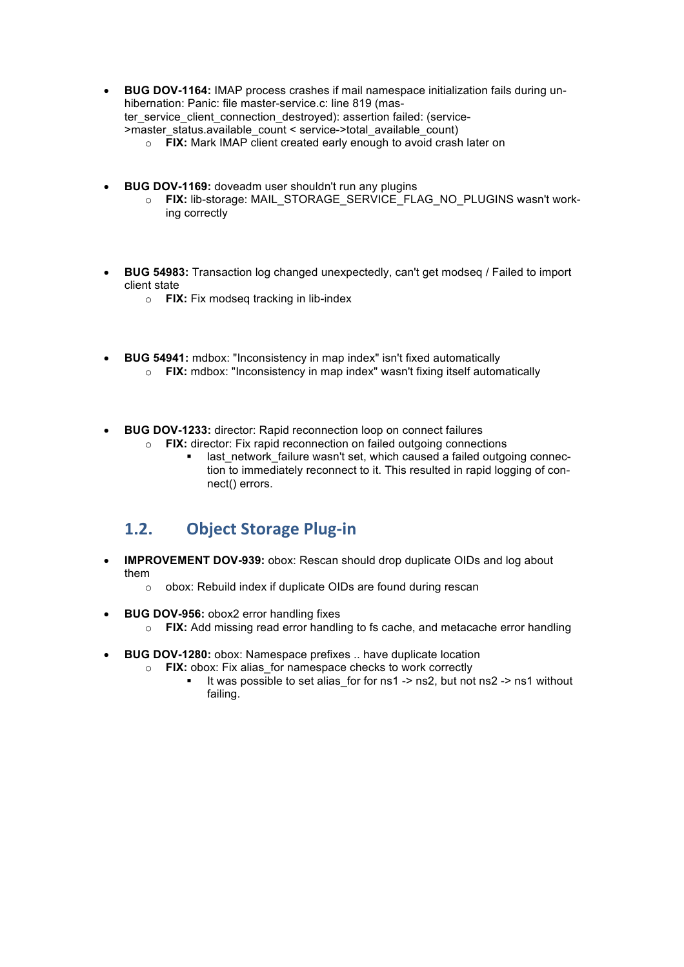- **BUG DOV-1164:** IMAP process crashes if mail namespace initialization fails during unhibernation: Panic: file master-service.c: line 819 (master\_service\_client\_connection\_destroyed): assertion failed: (service- >master\_status.available\_count < service->total\_available\_count) o **FIX:** Mark IMAP client created early enough to avoid crash later on
- **BUG DOV-1169:** doveadm user shouldn't run any plugins
	- o **FIX:** lib-storage: MAIL\_STORAGE\_SERVICE\_FLAG\_NO\_PLUGINS wasn't working correctly
- **BUG 54983:** Transaction log changed unexpectedly, can't get modseq / Failed to import client state
	- o **FIX:** Fix modseq tracking in lib-index
- **BUG 54941:** mdbox: "Inconsistency in map index" isn't fixed automatically
	- o **FIX:** mdbox: "Inconsistency in map index" wasn't fixing itself automatically
- **BUG DOV-1233:** director: Rapid reconnection loop on connect failures
	- o **FIX:** director: Fix rapid reconnection on failed outgoing connections
		- last network failure wasn't set, which caused a failed outgoing connection to immediately reconnect to it. This resulted in rapid logging of connect() errors.

#### **1.2. Object Storage Plug-in**

- **IMPROVEMENT DOV-939:** obox: Rescan should drop duplicate OIDs and log about them
	- o obox: Rebuild index if duplicate OIDs are found during rescan
- **BUG DOV-956:** obox2 error handling fixes
	- o **FIX:** Add missing read error handling to fs cache, and metacache error handling
- **BUG DOV-1280:** obox: Namespace prefixes .. have duplicate location
	- o **FIX:** obox: Fix alias\_for namespace checks to work correctly
		- It was possible to set alias\_for for ns1 -> ns2, but not ns2 -> ns1 without failing.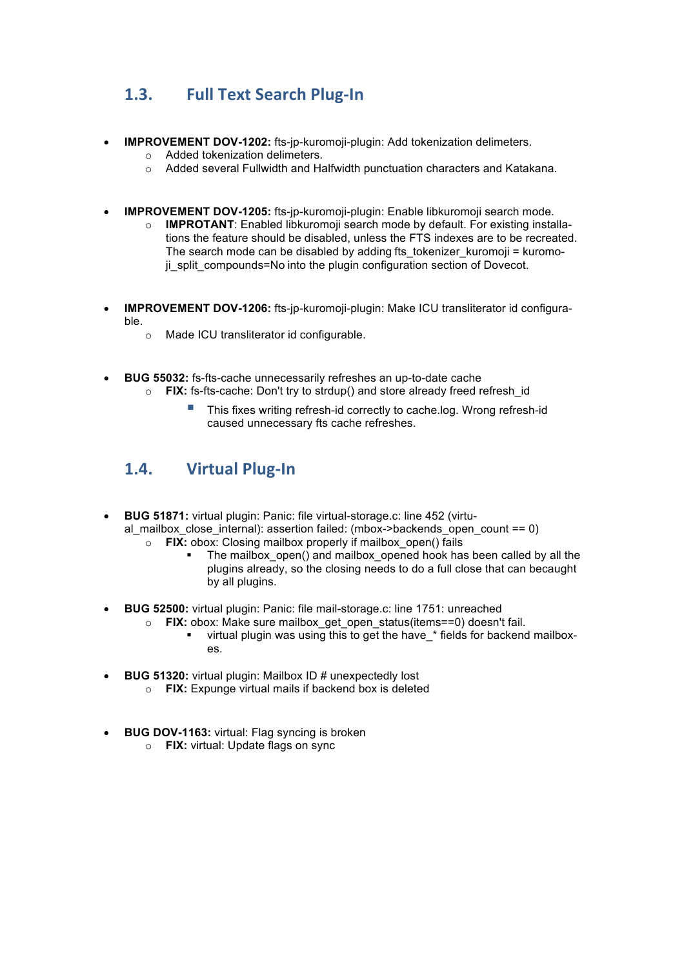## **1.3. Full Text Search Plug-In**

- **IMPROVEMENT DOV-1202:** fts-jp-kuromoji-plugin: Add tokenization delimeters.
	- o Added tokenization delimeters.
	- o Added several Fullwidth and Halfwidth punctuation characters and Katakana.
- **IMPROVEMENT DOV-1205:** fts-jp-kuromoji-plugin: Enable libkuromoji search mode.
	- o **IMPROTANT**: Enabled libkuromoji search mode by default. For existing installations the feature should be disabled, unless the FTS indexes are to be recreated. The search mode can be disabled by adding fts tokenizer kuromoji = kuromoji\_split\_compounds=No into the plugin configuration section of Dovecot.
- **IMPROVEMENT DOV-1206:** fts-jp-kuromoji-plugin: Make ICU transliterator id configurable.
	- o Made ICU transliterator id configurable.
- **BUG 55032:** fs-fts-cache unnecessarily refreshes an up-to-date cache
	- o **FIX:** fs-fts-cache: Don't try to strdup() and store already freed refresh\_id
		- § This fixes writing refresh-id correctly to cache.log. Wrong refresh-id caused unnecessary fts cache refreshes.

## 1.4. **Virtual Plug-In**

- **BUG 51871:** virtual plugin: Panic: file virtual-storage.c: line 452 (virtual mailbox close internal): assertion failed: (mbox->backends open count == 0)
	- o **FIX:** obox: Closing mailbox properly if mailbox\_open() fails
		- The mailbox open() and mailbox opened hook has been called by all the plugins already, so the closing needs to do a full close that can becaught by all plugins.
- **BUG 52500:** virtual plugin: Panic: file mail-storage.c: line 1751: unreached
	- o **FIX:** obox: Make sure mailbox\_get\_open\_status(items==0) doesn't fail. • virtual plugin was using this to get the have \* fields for backend mailboxes.
- **BUG 51320:** virtual plugin: Mailbox ID # unexpectedly lost
	- o **FIX:** Expunge virtual mails if backend box is deleted
- **BUG DOV-1163: virtual: Flag syncing is broken** 
	- o **FIX:** virtual: Update flags on sync